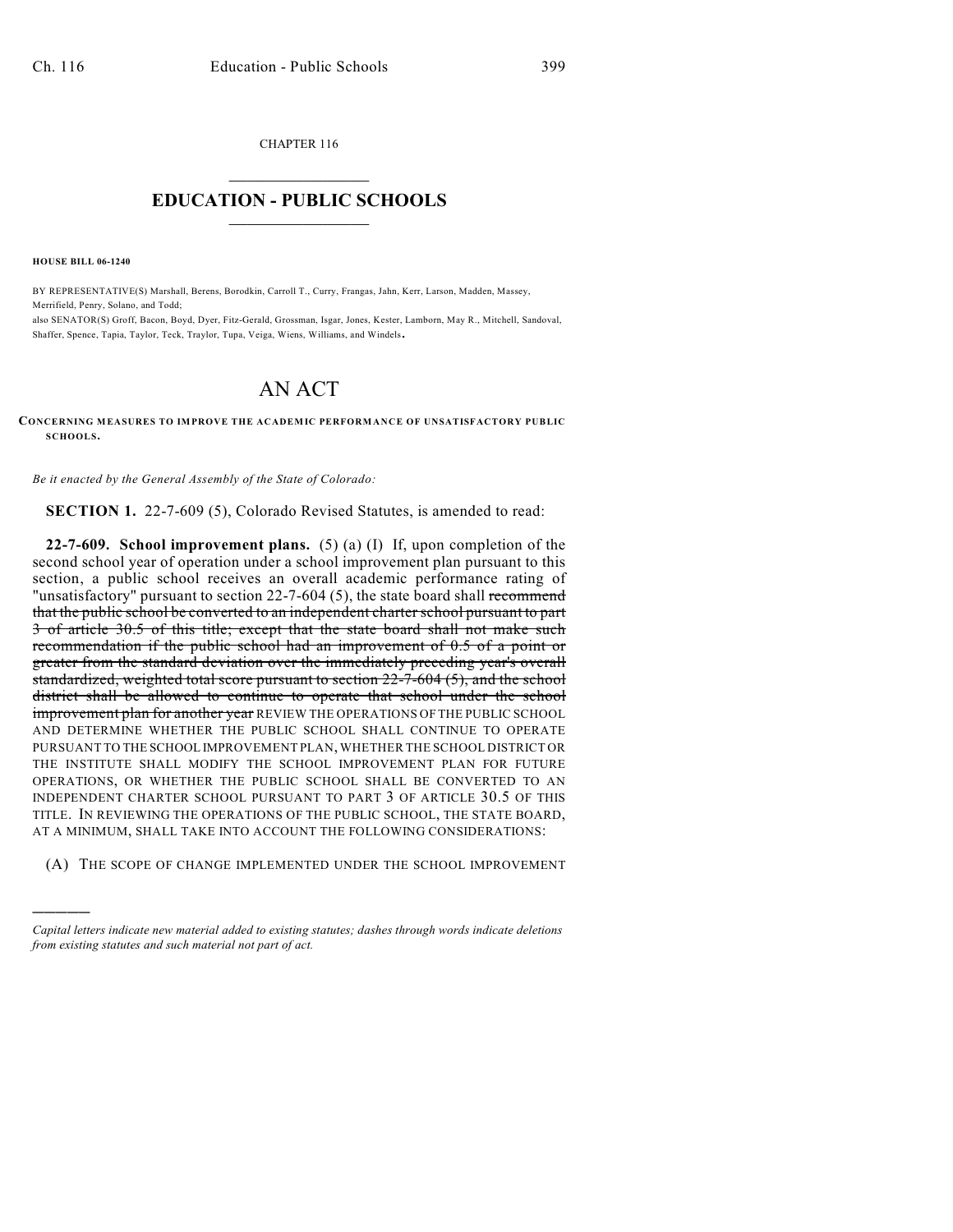CHAPTER 116  $\mathcal{L}_\text{max}$  . The set of the set of the set of the set of the set of the set of the set of the set of the set of the set of the set of the set of the set of the set of the set of the set of the set of the set of the set

## **EDUCATION - PUBLIC SCHOOLS**  $\_$   $\_$   $\_$   $\_$   $\_$   $\_$   $\_$   $\_$   $\_$

**HOUSE BILL 06-1240**

)))))

BY REPRESENTATIVE(S) Marshall, Berens, Borodkin, Carroll T., Curry, Frangas, Jahn, Kerr, Larson, Madden, Massey, Merrifield, Penry, Solano, and Todd; also SENATOR(S) Groff, Bacon, Boyd, Dyer, Fitz-Gerald, Grossman, Isgar, Jones, Kester, Lamborn, May R., Mitchell, Sandoval,

Shaffer, Spence, Tapia, Taylor, Teck, Traylor, Tupa, Veiga, Wiens, Williams, and Windels.

## AN ACT

**CONCERNING MEASURES TO IMPROVE THE ACADEMIC PERFORMANCE OF UNSATISFACTORY PUBLIC SCHOOLS.**

*Be it enacted by the General Assembly of the State of Colorado:*

**SECTION 1.** 22-7-609 (5), Colorado Revised Statutes, is amended to read:

**22-7-609. School improvement plans.** (5) (a) (I) If, upon completion of the second school year of operation under a school improvement plan pursuant to this section, a public school receives an overall academic performance rating of "unsatisfactory" pursuant to section 22-7-604 (5), the state board shall recommend that the public school be converted to an independent charter school pursuant to part 3 of article 30.5 of this title; except that the state board shall not make such recommendation if the public school had an improvement of 0.5 of a point or greater from the standard deviation over the immediately preceding year's overall standardized, weighted total score pursuant to section 22-7-604 (5), and the school district shall be allowed to continue to operate that school under the school improvement plan for another year REVIEW THE OPERATIONS OF THE PUBLIC SCHOOL AND DETERMINE WHETHER THE PUBLIC SCHOOL SHALL CONTINUE TO OPERATE PURSUANT TO THE SCHOOL IMPROVEMENT PLAN, WHETHER THE SCHOOL DISTRICT OR THE INSTITUTE SHALL MODIFY THE SCHOOL IMPROVEMENT PLAN FOR FUTURE OPERATIONS, OR WHETHER THE PUBLIC SCHOOL SHALL BE CONVERTED TO AN INDEPENDENT CHARTER SCHOOL PURSUANT TO PART 3 OF ARTICLE 30.5 OF THIS TITLE. IN REVIEWING THE OPERATIONS OF THE PUBLIC SCHOOL, THE STATE BOARD, AT A MINIMUM, SHALL TAKE INTO ACCOUNT THE FOLLOWING CONSIDERATIONS:

(A) THE SCOPE OF CHANGE IMPLEMENTED UNDER THE SCHOOL IMPROVEMENT

*Capital letters indicate new material added to existing statutes; dashes through words indicate deletions from existing statutes and such material not part of act.*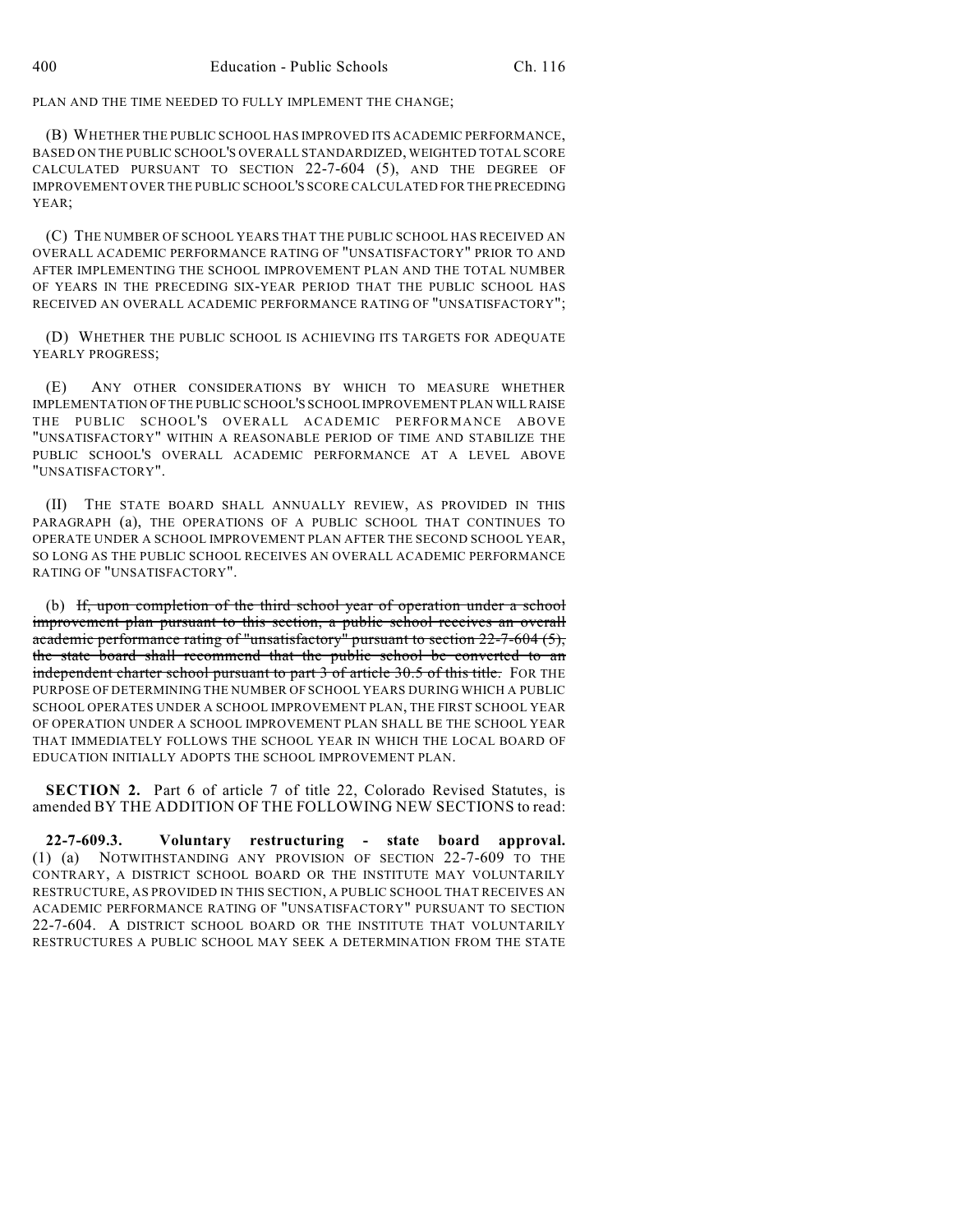PLAN AND THE TIME NEEDED TO FULLY IMPLEMENT THE CHANGE;

(B) WHETHER THE PUBLIC SCHOOL HAS IMPROVED ITS ACADEMIC PERFORMANCE, BASED ON THE PUBLIC SCHOOL'S OVERALL STANDARDIZED, WEIGHTED TOTAL SCORE CALCULATED PURSUANT TO SECTION 22-7-604 (5), AND THE DEGREE OF IMPROVEMENT OVER THE PUBLIC SCHOOL'S SCORE CALCULATED FOR THE PRECEDING YEAR:

(C) THE NUMBER OF SCHOOL YEARS THAT THE PUBLIC SCHOOL HAS RECEIVED AN OVERALL ACADEMIC PERFORMANCE RATING OF "UNSATISFACTORY" PRIOR TO AND AFTER IMPLEMENTING THE SCHOOL IMPROVEMENT PLAN AND THE TOTAL NUMBER OF YEARS IN THE PRECEDING SIX-YEAR PERIOD THAT THE PUBLIC SCHOOL HAS RECEIVED AN OVERALL ACADEMIC PERFORMANCE RATING OF "UNSATISFACTORY";

(D) WHETHER THE PUBLIC SCHOOL IS ACHIEVING ITS TARGETS FOR ADEQUATE YEARLY PROGRESS;

(E) ANY OTHER CONSIDERATIONS BY WHICH TO MEASURE WHETHER IMPLEMENTATION OF THE PUBLIC SCHOOL'S SCHOOL IMPROVEMENT PLAN WILL RAISE THE PUBLIC SCHOOL'S OVERALL ACADEMIC PERFORMANCE ABOVE "UNSATISFACTORY" WITHIN A REASONABLE PERIOD OF TIME AND STABILIZE THE PUBLIC SCHOOL'S OVERALL ACADEMIC PERFORMANCE AT A LEVEL ABOVE "UNSATISFACTORY".

(II) THE STATE BOARD SHALL ANNUALLY REVIEW, AS PROVIDED IN THIS PARAGRAPH (a), THE OPERATIONS OF A PUBLIC SCHOOL THAT CONTINUES TO OPERATE UNDER A SCHOOL IMPROVEMENT PLAN AFTER THE SECOND SCHOOL YEAR, SO LONG AS THE PUBLIC SCHOOL RECEIVES AN OVERALL ACADEMIC PERFORMANCE RATING OF "UNSATISFACTORY".

(b) If, upon completion of the third school year of operation under a school improvement plan pursuant to this section, a public school receives an overall academic performance rating of "unsatisfactory" pursuant to section 22-7-604 (5), the state board shall recommend that the public school be converted to an independent charter school pursuant to part 3 of article 30.5 of this title. FOR THE PURPOSE OF DETERMINING THE NUMBER OF SCHOOL YEARS DURING WHICH A PUBLIC SCHOOL OPERATES UNDER A SCHOOL IMPROVEMENT PLAN, THE FIRST SCHOOL YEAR OF OPERATION UNDER A SCHOOL IMPROVEMENT PLAN SHALL BE THE SCHOOL YEAR THAT IMMEDIATELY FOLLOWS THE SCHOOL YEAR IN WHICH THE LOCAL BOARD OF EDUCATION INITIALLY ADOPTS THE SCHOOL IMPROVEMENT PLAN.

**SECTION 2.** Part 6 of article 7 of title 22, Colorado Revised Statutes, is amended BY THE ADDITION OF THE FOLLOWING NEW SECTIONS to read:

**22-7-609.3. Voluntary restructuring - state board approval.** (1) (a) NOTWITHSTANDING ANY PROVISION OF SECTION 22-7-609 TO THE CONTRARY, A DISTRICT SCHOOL BOARD OR THE INSTITUTE MAY VOLUNTARILY RESTRUCTURE, AS PROVIDED IN THIS SECTION, A PUBLIC SCHOOL THAT RECEIVES AN ACADEMIC PERFORMANCE RATING OF "UNSATISFACTORY" PURSUANT TO SECTION 22-7-604. A DISTRICT SCHOOL BOARD OR THE INSTITUTE THAT VOLUNTARILY RESTRUCTURES A PUBLIC SCHOOL MAY SEEK A DETERMINATION FROM THE STATE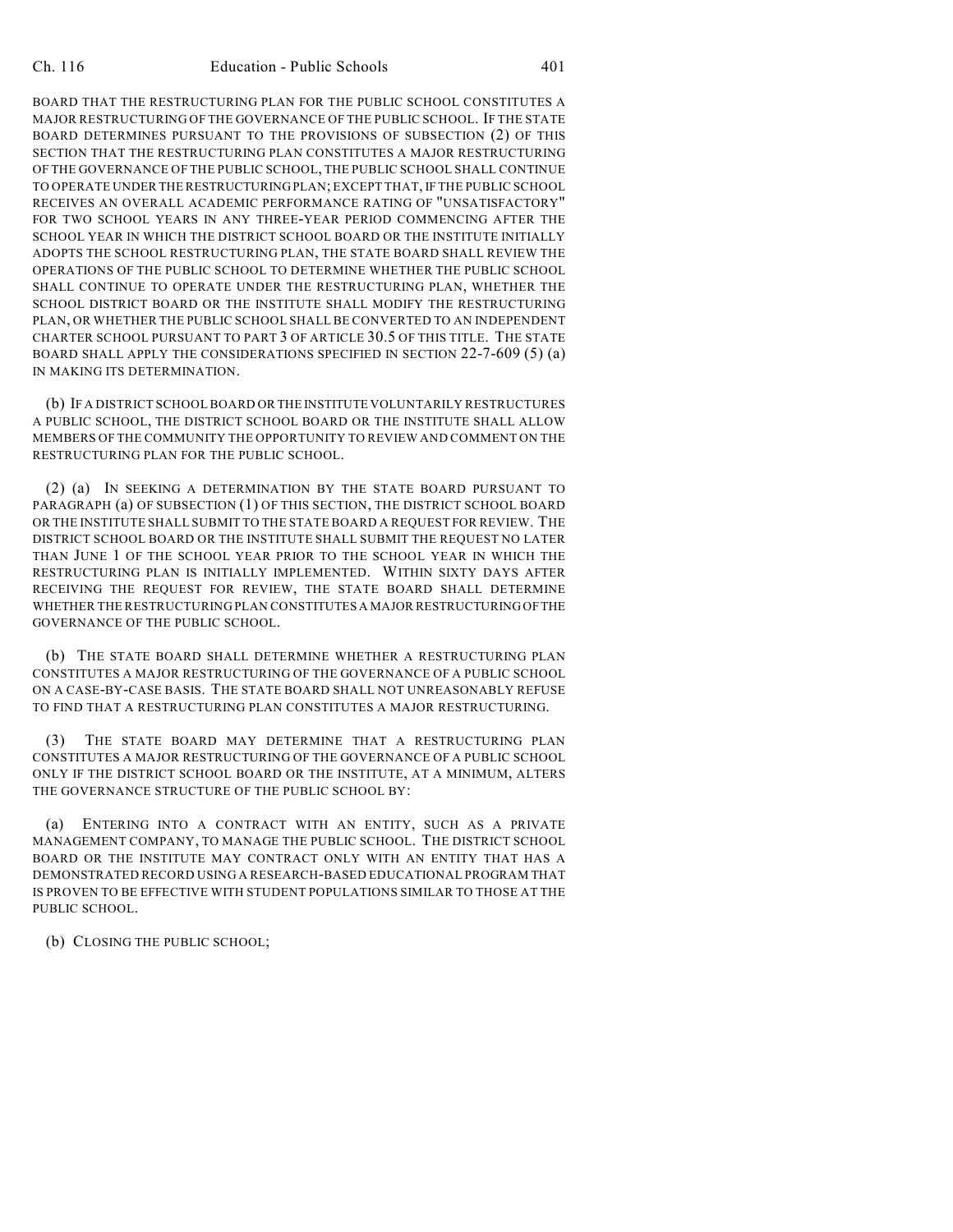BOARD THAT THE RESTRUCTURING PLAN FOR THE PUBLIC SCHOOL CONSTITUTES A MAJOR RESTRUCTURING OF THE GOVERNANCE OF THE PUBLIC SCHOOL. IF THE STATE BOARD DETERMINES PURSUANT TO THE PROVISIONS OF SUBSECTION (2) OF THIS SECTION THAT THE RESTRUCTURING PLAN CONSTITUTES A MAJOR RESTRUCTURING OF THE GOVERNANCE OF THE PUBLIC SCHOOL, THE PUBLIC SCHOOL SHALL CONTINUE TO OPERATE UNDER THE RESTRUCTURING PLAN; EXCEPT THAT, IF THE PUBLIC SCHOOL RECEIVES AN OVERALL ACADEMIC PERFORMANCE RATING OF "UNSATISFACTORY" FOR TWO SCHOOL YEARS IN ANY THREE-YEAR PERIOD COMMENCING AFTER THE SCHOOL YEAR IN WHICH THE DISTRICT SCHOOL BOARD OR THE INSTITUTE INITIALLY ADOPTS THE SCHOOL RESTRUCTURING PLAN, THE STATE BOARD SHALL REVIEW THE OPERATIONS OF THE PUBLIC SCHOOL TO DETERMINE WHETHER THE PUBLIC SCHOOL SHALL CONTINUE TO OPERATE UNDER THE RESTRUCTURING PLAN, WHETHER THE SCHOOL DISTRICT BOARD OR THE INSTITUTE SHALL MODIFY THE RESTRUCTURING PLAN, OR WHETHER THE PUBLIC SCHOOL SHALL BE CONVERTED TO AN INDEPENDENT CHARTER SCHOOL PURSUANT TO PART 3 OF ARTICLE 30.5 OF THIS TITLE. THE STATE BOARD SHALL APPLY THE CONSIDERATIONS SPECIFIED IN SECTION 22-7-609 (5) (a) IN MAKING ITS DETERMINATION.

(b) IF A DISTRICT SCHOOL BOARD OR THE INSTITUTE VOLUNTARILY RESTRUCTURES A PUBLIC SCHOOL, THE DISTRICT SCHOOL BOARD OR THE INSTITUTE SHALL ALLOW MEMBERS OF THE COMMUNITY THE OPPORTUNITY TO REVIEW AND COMMENT ON THE RESTRUCTURING PLAN FOR THE PUBLIC SCHOOL.

(2) (a) IN SEEKING A DETERMINATION BY THE STATE BOARD PURSUANT TO PARAGRAPH (a) OF SUBSECTION (1) OF THIS SECTION, THE DISTRICT SCHOOL BOARD OR THE INSTITUTE SHALL SUBMIT TO THE STATE BOARD A REQUEST FOR REVIEW. THE DISTRICT SCHOOL BOARD OR THE INSTITUTE SHALL SUBMIT THE REQUEST NO LATER THAN JUNE 1 OF THE SCHOOL YEAR PRIOR TO THE SCHOOL YEAR IN WHICH THE RESTRUCTURING PLAN IS INITIALLY IMPLEMENTED. WITHIN SIXTY DAYS AFTER RECEIVING THE REQUEST FOR REVIEW, THE STATE BOARD SHALL DETERMINE WHETHER THE RESTRUCTURING PLAN CONSTITUTES A MAJOR RESTRUCTURING OF THE GOVERNANCE OF THE PUBLIC SCHOOL.

(b) THE STATE BOARD SHALL DETERMINE WHETHER A RESTRUCTURING PLAN CONSTITUTES A MAJOR RESTRUCTURING OF THE GOVERNANCE OF A PUBLIC SCHOOL ON A CASE-BY-CASE BASIS. THE STATE BOARD SHALL NOT UNREASONABLY REFUSE TO FIND THAT A RESTRUCTURING PLAN CONSTITUTES A MAJOR RESTRUCTURING.

(3) THE STATE BOARD MAY DETERMINE THAT A RESTRUCTURING PLAN CONSTITUTES A MAJOR RESTRUCTURING OF THE GOVERNANCE OF A PUBLIC SCHOOL ONLY IF THE DISTRICT SCHOOL BOARD OR THE INSTITUTE, AT A MINIMUM, ALTERS THE GOVERNANCE STRUCTURE OF THE PUBLIC SCHOOL BY:

(a) ENTERING INTO A CONTRACT WITH AN ENTITY, SUCH AS A PRIVATE MANAGEMENT COMPANY, TO MANAGE THE PUBLIC SCHOOL. THE DISTRICT SCHOOL BOARD OR THE INSTITUTE MAY CONTRACT ONLY WITH AN ENTITY THAT HAS A DEMONSTRATED RECORD USING A RESEARCH-BASED EDUCATIONAL PROGRAM THAT IS PROVEN TO BE EFFECTIVE WITH STUDENT POPULATIONS SIMILAR TO THOSE AT THE PUBLIC SCHOOL.

(b) CLOSING THE PUBLIC SCHOOL;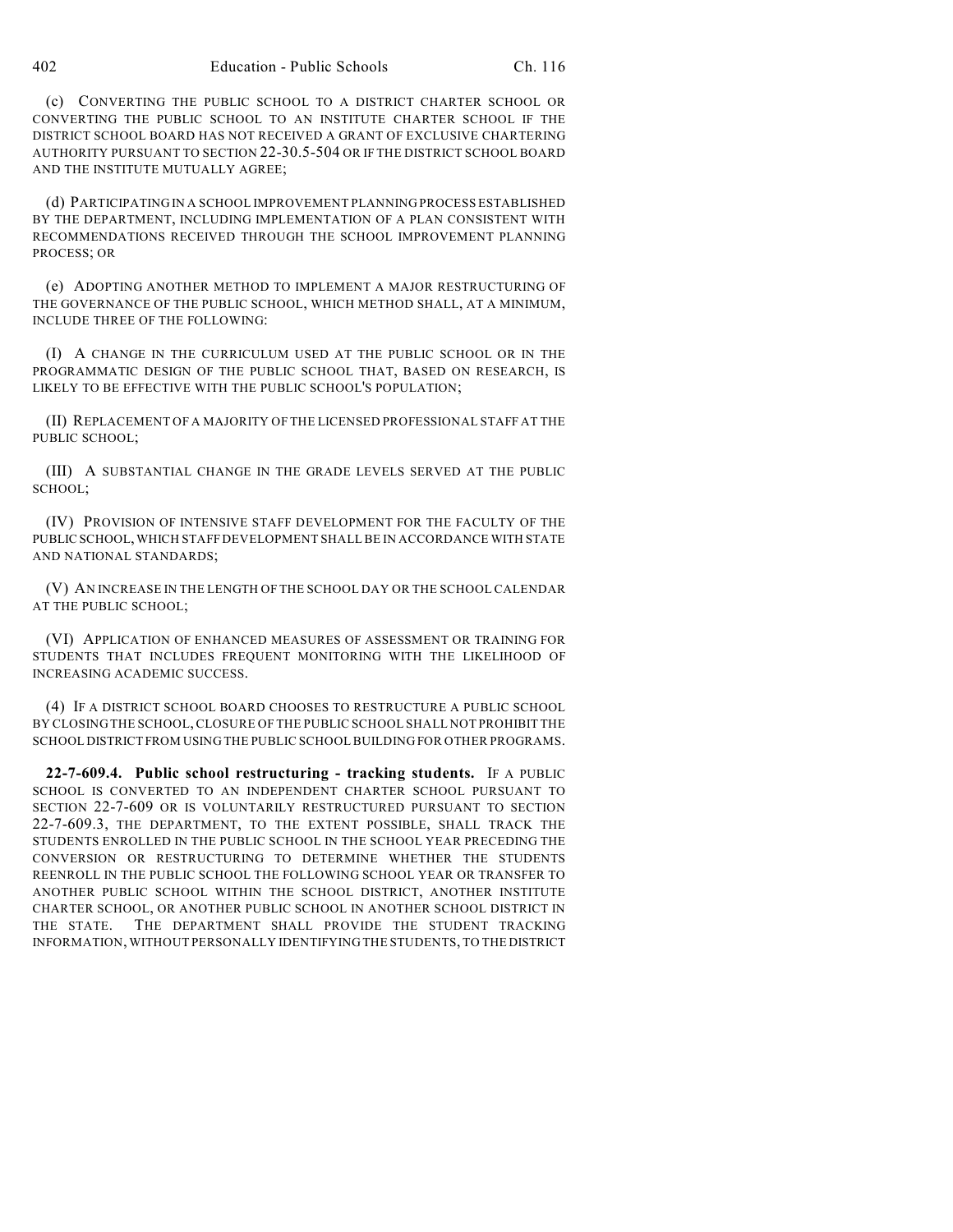(c) CONVERTING THE PUBLIC SCHOOL TO A DISTRICT CHARTER SCHOOL OR CONVERTING THE PUBLIC SCHOOL TO AN INSTITUTE CHARTER SCHOOL IF THE DISTRICT SCHOOL BOARD HAS NOT RECEIVED A GRANT OF EXCLUSIVE CHARTERING AUTHORITY PURSUANT TO SECTION 22-30.5-504 OR IF THE DISTRICT SCHOOL BOARD AND THE INSTITUTE MUTUALLY AGREE;

(d) PARTICIPATING IN A SCHOOL IMPROVEMENT PLANNING PROCESS ESTABLISHED BY THE DEPARTMENT, INCLUDING IMPLEMENTATION OF A PLAN CONSISTENT WITH RECOMMENDATIONS RECEIVED THROUGH THE SCHOOL IMPROVEMENT PLANNING PROCESS; OR

(e) ADOPTING ANOTHER METHOD TO IMPLEMENT A MAJOR RESTRUCTURING OF THE GOVERNANCE OF THE PUBLIC SCHOOL, WHICH METHOD SHALL, AT A MINIMUM, INCLUDE THREE OF THE FOLLOWING:

(I) A CHANGE IN THE CURRICULUM USED AT THE PUBLIC SCHOOL OR IN THE PROGRAMMATIC DESIGN OF THE PUBLIC SCHOOL THAT, BASED ON RESEARCH, IS LIKELY TO BE EFFECTIVE WITH THE PUBLIC SCHOOL'S POPULATION;

(II) REPLACEMENT OF A MAJORITY OF THE LICENSED PROFESSIONAL STAFF AT THE PUBLIC SCHOOL;

(III) A SUBSTANTIAL CHANGE IN THE GRADE LEVELS SERVED AT THE PUBLIC SCHOOL;

(IV) PROVISION OF INTENSIVE STAFF DEVELOPMENT FOR THE FACULTY OF THE PUBLIC SCHOOL, WHICH STAFF DEVELOPMENT SHALL BE IN ACCORDANCE WITH STATE AND NATIONAL STANDARDS;

(V) AN INCREASE IN THE LENGTH OF THE SCHOOL DAY OR THE SCHOOL CALENDAR AT THE PUBLIC SCHOOL;

(VI) APPLICATION OF ENHANCED MEASURES OF ASSESSMENT OR TRAINING FOR STUDENTS THAT INCLUDES FREQUENT MONITORING WITH THE LIKELIHOOD OF INCREASING ACADEMIC SUCCESS.

(4) IF A DISTRICT SCHOOL BOARD CHOOSES TO RESTRUCTURE A PUBLIC SCHOOL BY CLOSING THE SCHOOL, CLOSURE OF THE PUBLIC SCHOOL SHALL NOT PROHIBIT THE SCHOOL DISTRICT FROM USING THE PUBLIC SCHOOL BUILDING FOR OTHER PROGRAMS.

**22-7-609.4. Public school restructuring - tracking students.** IF A PUBLIC SCHOOL IS CONVERTED TO AN INDEPENDENT CHARTER SCHOOL PURSUANT TO SECTION 22-7-609 OR IS VOLUNTARILY RESTRUCTURED PURSUANT TO SECTION 22-7-609.3, THE DEPARTMENT, TO THE EXTENT POSSIBLE, SHALL TRACK THE STUDENTS ENROLLED IN THE PUBLIC SCHOOL IN THE SCHOOL YEAR PRECEDING THE CONVERSION OR RESTRUCTURING TO DETERMINE WHETHER THE STUDENTS REENROLL IN THE PUBLIC SCHOOL THE FOLLOWING SCHOOL YEAR OR TRANSFER TO ANOTHER PUBLIC SCHOOL WITHIN THE SCHOOL DISTRICT, ANOTHER INSTITUTE CHARTER SCHOOL, OR ANOTHER PUBLIC SCHOOL IN ANOTHER SCHOOL DISTRICT IN THE STATE. THE DEPARTMENT SHALL PROVIDE THE STUDENT TRACKING INFORMATION, WITHOUT PERSONALLY IDENTIFYING THE STUDENTS, TO THE DISTRICT